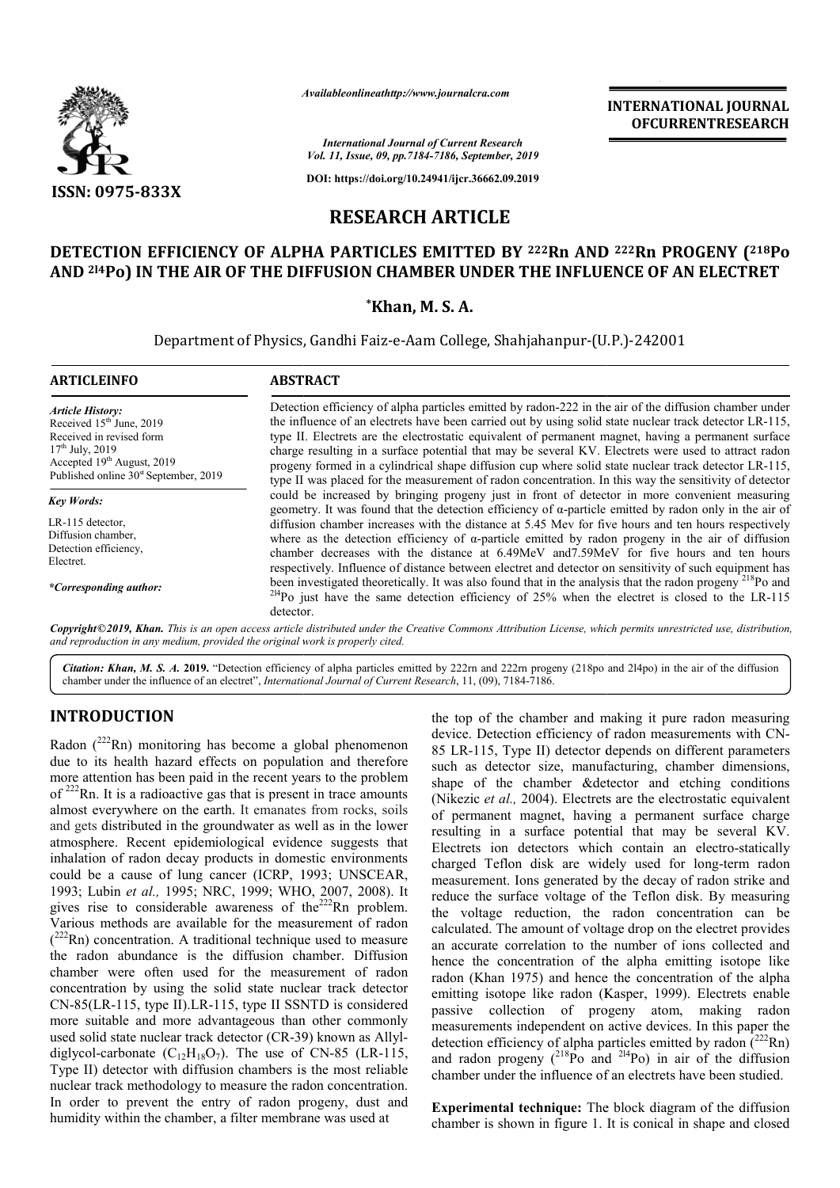

*Availableonlineathttp://www.journal Availableonlineathttp://www.journalcra.com*

*International Journal of Current Research Vol. 11, Issue, 09, pp.7184-7186, September, 2019*

**DOI: https://doi.org/10.24941/ijcr.36662.09.2019**

# **RESEARCH ARTICLE**

# **DETECTION EFFICIENCY OF ALPHA PARTICLES EMITTED BY 222Rn AND Rn AND 222Rn PROGENY (218Po**  AND <sup>214</sup>Po) IN THE AIR OF THE DIFFUSION CHAMBER UNDER THE INFLUENCE OF AN ELECTRET<br>Khan, M. S. A.

Department of Physics, Gandhi Faiz-e-Aam College, Shahjahanpur-(U.P.)-242001

| <b>ARTICLEINFO</b>                                                                                                                                                                          | <b>ABSTRACT</b>                                                                                                                                                                                                                                                                                                                                                                                                                                                                                                                                                                                                                                    |  |  |
|---------------------------------------------------------------------------------------------------------------------------------------------------------------------------------------------|----------------------------------------------------------------------------------------------------------------------------------------------------------------------------------------------------------------------------------------------------------------------------------------------------------------------------------------------------------------------------------------------------------------------------------------------------------------------------------------------------------------------------------------------------------------------------------------------------------------------------------------------------|--|--|
| <b>Article History:</b><br>Received $15th$ June, 2019<br>Received in revised form<br>$17th$ July, 2019<br>Accepted $19th$ August, 2019<br>Published online 30 <sup>st</sup> September, 2019 | Detection efficiency of alpha particles emitted by radon-222 in the air of the diffusion chamber under<br>the influence of an electrets have been carried out by using solid state nuclear track detector LR-115,<br>type II. Electrets are the electrostatic equivalent of permanent magnet, having a permanent surface<br>charge resulting in a surface potential that may be several KV. Electrets were used to attract radon<br>progeny formed in a cylindrical shape diffusion cup where solid state nuclear track detector LR-115,<br>type II was placed for the measurement of radon concentration. In this way the sensitivity of detector |  |  |
| <b>Key Words:</b>                                                                                                                                                                           | could be increased by bringing progeny just in front of detector in more convenient measuring                                                                                                                                                                                                                                                                                                                                                                                                                                                                                                                                                      |  |  |
| LR-115 detector,<br>Diffusion chamber,<br>Detection efficiency,<br>Electret.                                                                                                                | geometry. It was found that the detection efficiency of $\alpha$ -particle emitted by radon only in the air of<br>diffusion chamber increases with the distance at 5.45 Mev for five hours and ten hours respectively<br>where as the detection efficiency of $\alpha$ -particle emitted by radon progeny in the air of diffusion<br>chamber decreases with the distance at 6.49MeV and 7.59MeV for five hours and ten hours<br>respectively. Influence of distance between electret and detector on sensitivity of such equipment has                                                                                                             |  |  |
| *Corresponding author:                                                                                                                                                                      | been investigated theoretically. It was also found that in the analysis that the radon progeny <sup>218</sup> Po and<br><sup>214</sup> Po just have the same detection efficiency of 25% when the electret is closed to the LR-115<br>detector.                                                                                                                                                                                                                                                                                                                                                                                                    |  |  |

Copyright©2019, Khan. This is an open access article distributed under the Creative Commons Attribution License, which permits unrestricted use, distribution, *and reproduction in any medium, provided the original work is properly cited.*

Citation: Khan, M. S. A. 2019. "Detection efficiency of alpha particles emitted by 222rn and 222rn progeny (218po and 214po) in the air of the diffusion **Citation: Khan, M. S. A. 2019.** "Detection efficiency of alpha particles emitted by 222rn and 222rn proge chamber under the influence of an electret", *International Journal of Current Research*, 11, (09), 7184-7186.

## **INTRODUCTION**

Radon  $(^{222}$ Rn) monitoring has become a global phenomenon due to its health hazard effects on population and therefore more attention has been paid in the recent years to the problem of  $222$ Rn. It is a radioactive gas that is present in trace amounts almost everywhere on the earth. It emanates from rocks, soils and gets distributed in the groundwater as well as in the lower atmosphere. Recent epidemiological evidence suggests that inhalation of radon decay products in domestic environments could be a cause of lung cancer (ICRP, 1993; UNSCEAR, 1993; Lubin *et al.,* 1995; NRC, 1999; WHO, 2007, 2008). It gives rise to considerable awareness of the $222$ Rn problem. Various methods are available for the measurement of radon  $(^{222}$ Rn) concentration. A traditional technique used to measure the radon abundance is the diffusion chamber. Diffusion chamber were often used for the measurement of radon concentration by using the solid state nuclear track detector CN-85(LR-115, type II).LR-115, type II SSNTD is considered more suitable and more advantageous than other commonly used solid state nuclear track detector (CR-39) known as Allyl diglycol-carbonate  $(C_{12}H_{18}O_7)$ . The use of CN-85 (LR-115, Type II) detector with diffusion chambers is the most reliable nuclear track methodology to measure the radon concentration. In order to prevent the entry of radon progeny, dust and humidity within the chamber, a filter membrane was used at Rn) concentration. A traditional technique used to measure<br>radon abundance is the diffusion chamber. Diffusion<br>mber were often used for the measurement of radon<br>centration by using the solid state nuclear track detector<br>-8

the top of the chamber and making it pure radon measuring the top of the chamber and making it pure radon measuring<br>device. Detection efficiency of radon measurements with CN-85 LR-115, Type II) detector depends on different parameters such as detector size, manufacturing, chamber dimensions, shape of the chamber &detector and etching conditions (Nikezic *et al.,* 2004). Electrets are the electrostatic equivalent of permanent magnet, having a permanent surface charge resulting in a surface potential that may be several KV. Electrets ion detectors which contain an electro-statically charged Teflon disk are widely used for long-term radon measurement. Ions generated by the decay of radon strike and reduce the surface voltage of the Teflon disk. By measuring the voltage reduction, the radon concentration can be calculated. The amount of voltage drop on the electret provides an accurate correlation to the number of ions collected and hence the concentration of the alpha emitting isotope like radon (Khan 1975) and hence the concentration of the alpha emitting isotope like radon (Kasper, 1999). Electrets enable passive collection of progeny atom, making radon passive collection of progeny atom, making radon<br>measurements independent on active devices. In this paper the detection efficiency of alpha particles emitted by radon  $(222Rn)$ and radon progeny  $(^{218}Po$  and  $^{214}Po)$  in air of the diffusion chamber under the influence of an electrets have been studied. 85 LR-115, Type II) detector depends on different parameters such as detector size, manufacturing, chamber dimensions, shape of the chamber &detector and etching conditions (Nikezic *et al.*, 2004). Electrets are the elec reduce the surface voltage of the Teflon disk. By measuring<br>the voltage reduction, the radon concentration can be<br>calculated. The amount of voltage drop on the electret provides<br>an accurate correlation to the number of ion INTERNATIONAL JOURNAL<br>
COFCURRENTRESEARCH<br>
COFCURRENTRESEARCH<br>
COFCURRENTRESEARCH<br>
COFCURRENTRESEARCH<br>
DBY 222Rn AND 222Rn PROGENY (218Po<br>
C62.99.2019)<br>
2LE<br>
DBY 222Rn AND 222Rn PROGENY (218Po<br>
C62.99.2019)<br>
2LE<br>
C62.99.2

**Experimental technique:** The block diagram of the diffusion chamber is shown in figure 1. It is conical in shape and closed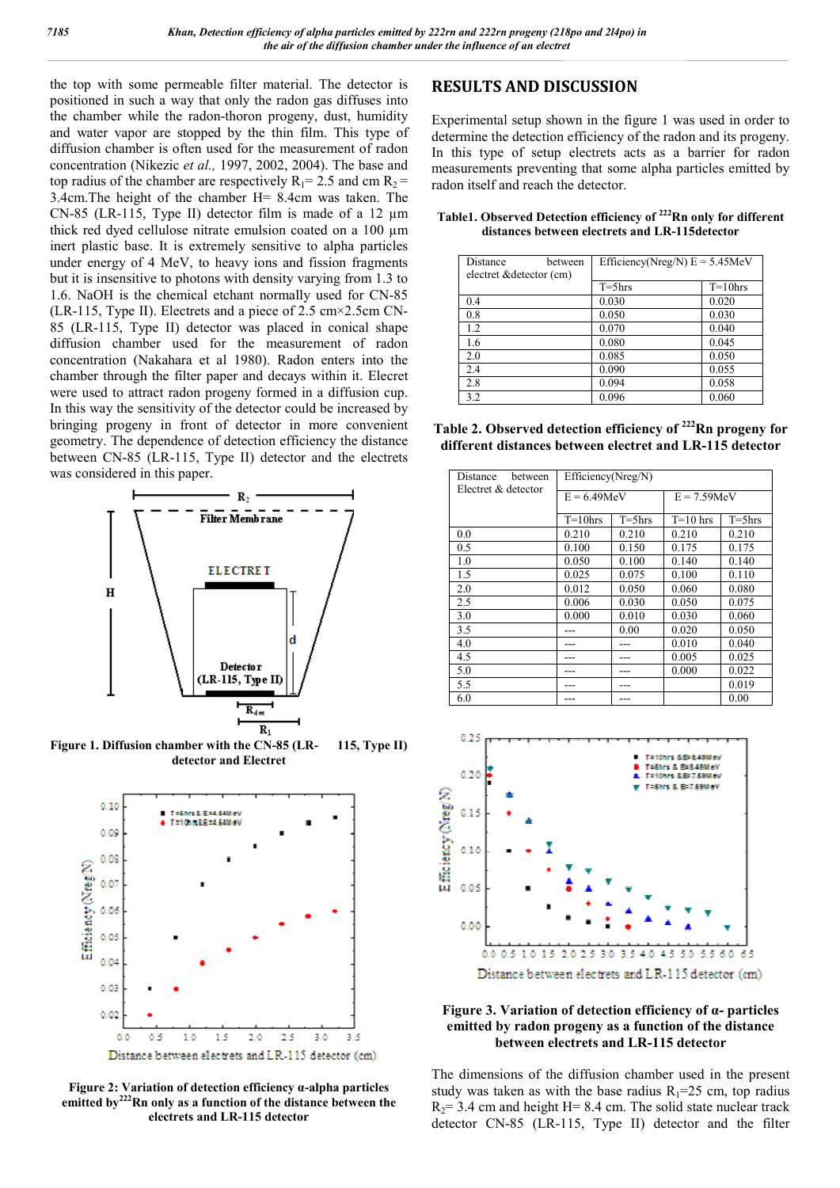the top with some permeable filter material. The detector is positioned in such a way that only the radon gas diffuses into the chamber while the radon-thoron progeny, dust, humidity and water vapor are stopped by the thin film. This type of diffusion chamber is often used for the measurement of radon concentration (Nikezic *et al.,* 1997, 2002, 2004). The base and top radius of the chamber are respectively  $R_1$  = 2.5 and cm  $R_2$  = 3.4cm.The height of the chamber H= 8.4cm was taken. The CN-85 (LR-115, Type II) detector film is made of a 12 um thick red dyed cellulose nitrate emulsion coated on a 100 µm inert plastic base. It is extremely sensitive to alpha particles under energy of 4 MeV, to heavy ions and fission fragments but it is insensitive to photons with density varying from 1.3 to 1.6. NaOH is the chemical etchant normally used for CN-85 (LR-115, Type II). Electrets and a piece of 2.5 cm×2.5cm CN-85 (LR-115, Type II) detector was placed in conical shape diffusion chamber used for the measurement of radon concentration (Nakahara et al 1980). Radon enters into the chamber through the filter paper and decays within it. Elecret were used to attract radon progeny formed in a diffusion cup. In this way the sensitivity of the detector could be increased by bringing progeny in front of detector in more convenient geometry. The dependence of detection efficiency the distance between CN-85 (LR-115, Type II) detector and the electrets was considered in this paper.



**Figure 1. Diffusion chamber with the CN-85 (LR- 115, Type II) detector and Electret**



**Figure 2: Variation of detection efficiency α-alpha particles emitted by222Rn only as a function of the distance between the electrets and LR-115 detector**

### **RESULTS AND DISCUSSION**

Experimental setup shown in the figure 1 was used in order to determine the detection efficiency of the radon and its progeny. In this type of setup electrets acts as a barrier for radon measurements preventing that some alpha particles emitted by radon itself and reach the detector.

**Table1. Observed Detection efficiency of 222Rn only for different distances between electrets and LR-115detector**

| Distance<br>between<br>electret & detector (cm) | Efficiency(Nreg/N) $E = 5.45MeV$ |            |  |
|-------------------------------------------------|----------------------------------|------------|--|
|                                                 | $T = 5$ hrs                      | $T=10$ hrs |  |
| 0.4                                             | 0.030                            | 0.020      |  |
| 0.8                                             | 0.050                            | 0.030      |  |
| 1.2                                             | 0.070                            | 0.040      |  |
| 1.6                                             | 0.080                            | 0.045      |  |
| 2.0                                             | 0.085                            | 0.050      |  |
| 2.4                                             | 0.090                            | 0.055      |  |
| 2.8                                             | 0.094                            | 0.058      |  |
| 3.2                                             | 0.096                            | 0.060      |  |

| Table 2. Observed detection efficiency of <sup>222</sup> Rn progeny for |
|-------------------------------------------------------------------------|
| different distances between electret and LR-115 detector                |

| Distance<br>hetween | Efficiency(Nreg/N) |             |               |             |
|---------------------|--------------------|-------------|---------------|-------------|
| Electret & detector | $E = 6.49$ MeV     |             | $E = 7.59MeV$ |             |
|                     | $T=10$ hrs         | $T = 5$ hrs | $T=10$ hrs    | $T = 5$ hrs |
| 0.0                 | 0.210              | 0.210       | 0.210         | 0.210       |
| 0.5                 | 0.100              | 0.150       | 0.175         | 0.175       |
| 1.0                 | 0.050              | 0.100       | 0.140         | 0.140       |
| 1.5                 | 0.025              | 0.075       | 0.100         | 0.110       |
| 2.0                 | 0.012              | 0.050       | 0.060         | 0.080       |
| 2.5                 | 0.006              | 0.030       | 0.050         | 0.075       |
| 3.0                 | 0.000              | 0.010       | 0.030         | 0.060       |
| 3.5                 |                    | 0.00        | 0.020         | 0.050       |
| 4.0                 |                    |             | 0.010         | 0.040       |
| 4.5                 |                    | ---         | 0.005         | 0.025       |
| 5.0                 |                    |             | 0.000         | 0.022       |
| 5.5                 |                    |             |               | 0.019       |
| 6.0                 |                    |             |               | 0.00        |





The dimensions of the diffusion chamber used in the present study was taken as with the base radius  $R_1=25$  cm, top radius  $R_2$ = 3.4 cm and height H= 8.4 cm. The solid state nuclear track detector CN-85 (LR-115, Type II) detector and the filter